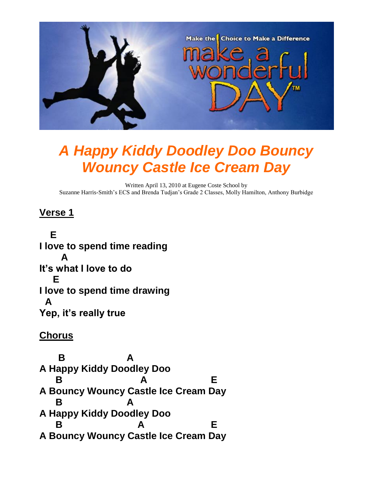

# *A Happy Kiddy Doodley Doo Bouncy Wouncy Castle Ice Cream Day*

Written April 13, 2010 at Eugene Coste School by Suzanne Harris-Smith's ECS and Brenda Tudjan's Grade 2 Classes, Molly Hamilton, Anthony Burbidge

### **Verse 1**

 **E I love to spend time reading A It's what I love to do E I love to spend time drawing A Yep, it's really true**

#### **Chorus**

 **B A A Happy Kiddy Doodley Doo B** A E **A Bouncy Wouncy Castle Ice Cream Day B A A Happy Kiddy Doodley Doo B** A E **A Bouncy Wouncy Castle Ice Cream Day**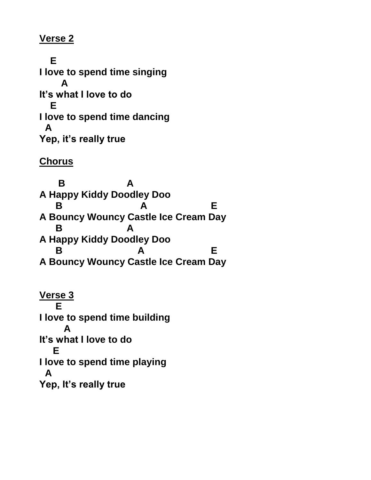#### **Verse 2**

 **E I love to spend time singing A It's what I love to do E I love to spend time dancing A Yep, it's really true**

## **Chorus**

 **B A A Happy Kiddy Doodley Doo B** A E **A Bouncy Wouncy Castle Ice Cream Day B A A Happy Kiddy Doodley Doo B** A E **A Bouncy Wouncy Castle Ice Cream Day**

**Verse 3 E I love to spend time building A It's what I love to do E I love to spend time playing A Yep, It's really true**